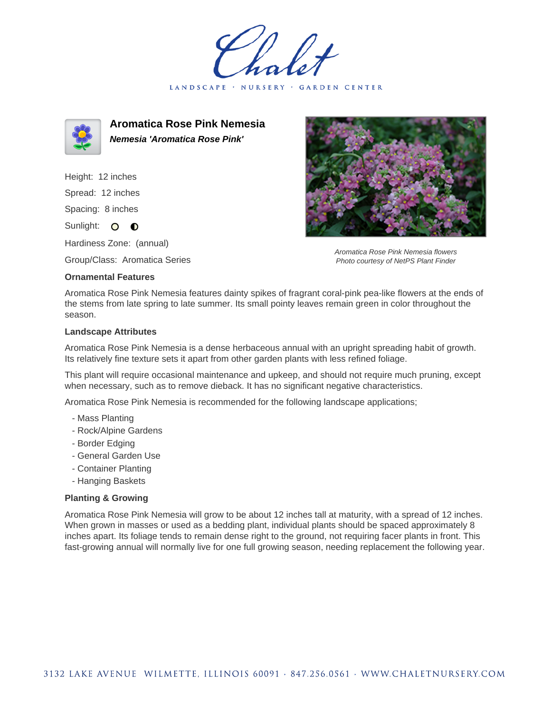LANDSCAPE · NURSERY · GARDEN CENTER



**Aromatica Rose Pink Nemesia Nemesia 'Aromatica Rose Pink'**

Height: 12 inches Spread: 12 inches Spacing: 8 inches Sunlight: O **O** 

Hardiness Zone: (annual)

Group/Class: Aromatica Series

## **Ornamental Features**



Aromatica Rose Pink Nemesia flowers Photo courtesy of NetPS Plant Finder

Aromatica Rose Pink Nemesia features dainty spikes of fragrant coral-pink pea-like flowers at the ends of the stems from late spring to late summer. Its small pointy leaves remain green in color throughout the season.

## **Landscape Attributes**

Aromatica Rose Pink Nemesia is a dense herbaceous annual with an upright spreading habit of growth. Its relatively fine texture sets it apart from other garden plants with less refined foliage.

This plant will require occasional maintenance and upkeep, and should not require much pruning, except when necessary, such as to remove dieback. It has no significant negative characteristics.

Aromatica Rose Pink Nemesia is recommended for the following landscape applications;

- Mass Planting
- Rock/Alpine Gardens
- Border Edging
- General Garden Use
- Container Planting
- Hanging Baskets

## **Planting & Growing**

Aromatica Rose Pink Nemesia will grow to be about 12 inches tall at maturity, with a spread of 12 inches. When grown in masses or used as a bedding plant, individual plants should be spaced approximately 8 inches apart. Its foliage tends to remain dense right to the ground, not requiring facer plants in front. This fast-growing annual will normally live for one full growing season, needing replacement the following year.